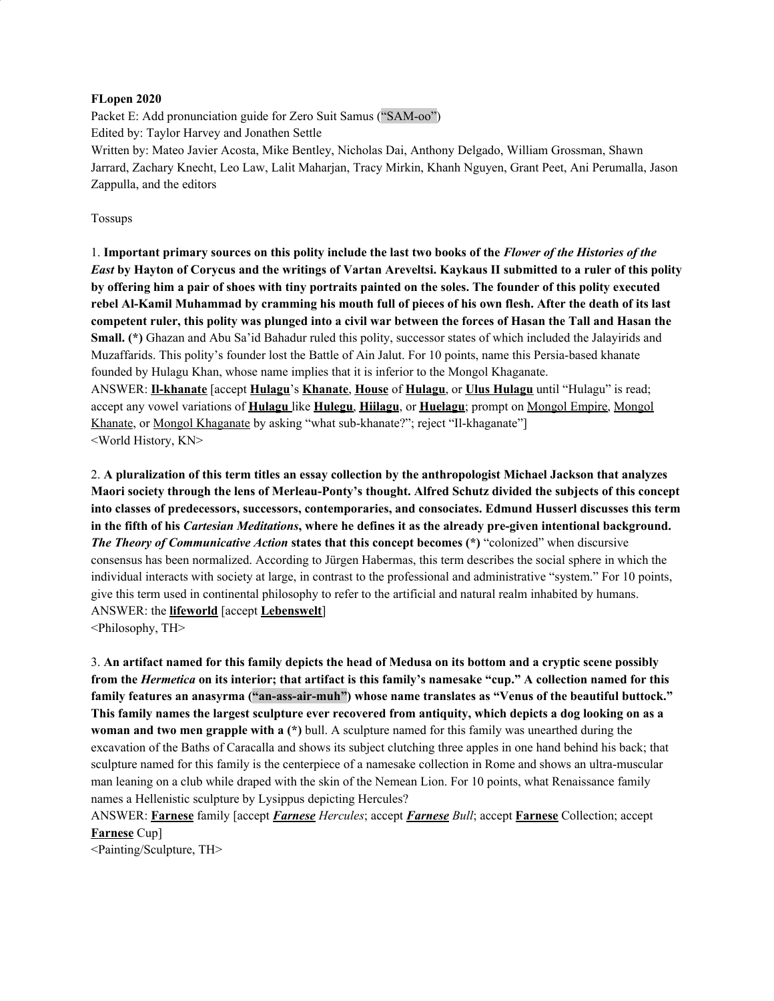#### **FLopen 2020**

Packet E: Add pronunciation guide for Zero Suit Samus ("SAM-oo") Edited by: Taylor Harvey and Jonathen Settle Written by: Mateo Javier Acosta, Mike Bentley, Nicholas Dai, Anthony Delgado, William Grossman, Shawn Jarrard, Zachary Knecht, Leo Law, Lalit Maharjan, Tracy Mirkin, Khanh Nguyen, Grant Peet, Ani Perumalla, Jason Zappulla, and the editors

#### Tossups

1. Important primary sources on this polity include the last two books of the Flower of the Histories of the East by Hayton of Corycus and the writings of Vartan Areveltsi. Kaykaus II submitted to a ruler of this polity by offering him a pair of shoes with tiny portraits painted on the soles. The founder of this polity executed rebel Al-Kamil Muhammad by cramming his mouth full of pieces of his own flesh. After the death of its last competent ruler, this polity was plunged into a civil war between the forces of Hasan the Tall and Hasan the **Small. (\*)** Ghazan and Abu Sa'id Bahadur ruled this polity, successor states of which included the Jalayirids and Muzaffarids. This polity's founder lost the Battle of Ain Jalut. For 10 points, name this Persia-based khanate founded by Hulagu Khan, whose name implies that it is inferior to the Mongol Khaganate. ANSWER: **Il-khanate** [accept **Hulagu**'s **Khanate**, **House** of **Hulagu**, or **Ulus Hulagu** until "Hulagu" is read; accept any vowel variations of **Hulagu** like **Hulegu**, **Hiilagu**, or **Huelagu**; prompt on Mongol Empire, Mongol Khanate, or Mongol Khaganate by asking "what sub-khanate?"; reject "Il-khaganate"] <World History, KN>

2. **A pluralization of this term titles an essay collection by the anthropologist Michael Jackson that analyzes Maori society through the lens of Merleau-Ponty's thought. Alfred Schutz divided the subjects of this concept into classes of predecessors, successors, contemporaries, and consociates. Edmund Husserl discusses this term** in the fifth of his *Cartesian Meditations*, where he defines it as the already pre-given intentional background. *The Theory of Communicative Action* **states that this concept becomes (\*)** "colonized" when discursive consensus has been normalized. According to Jürgen Habermas, this term describes the social sphere in which the individual interacts with society at large, in contrast to the professional and administrative "system." For 10 points, give this term used in continental philosophy to refer to the artificial and natural realm inhabited by humans. ANSWER: the **lifeworld** [accept **Lebenswelt**]

<Philosophy, TH>

3. An artifact named for this family depicts the head of Medusa on its bottom and a cryptic scene possibly from the *Hermetica* on its interior; that artifact is this family's namesake "cup." A collection named for this **family features an anasyrma ("an-ass-air-muh") whose name translates as "Venus of the beautiful buttock."** This family names the largest sculpture ever recovered from antiquity, which depicts a dog looking on as a **woman and two men grapple with a (\*)** bull. A sculpture named for this family was unearthed during the excavation of the Baths of Caracalla and shows its subject clutching three apples in one hand behind his back; that sculpture named for this family is the centerpiece of a namesake collection in Rome and shows an ultra-muscular man leaning on a club while draped with the skin of the Nemean Lion. For 10 points, what Renaissance family names a Hellenistic sculpture by Lysippus depicting Hercules?

ANSWER: **Farnese** family [accept *Farnese Hercules*; accept *Farnese Bull*; accept **Farnese** Collection; accept **Farnese** Cup]

<Painting/Sculpture, TH>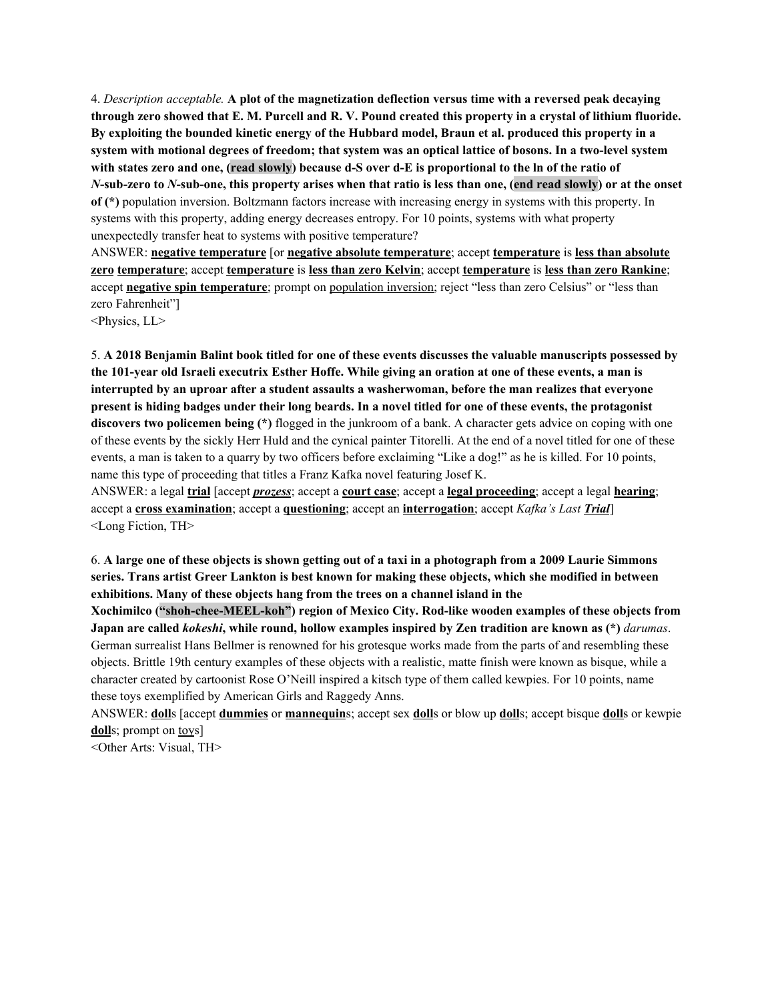4. *Description acceptable.* **A plot of the magnetization deflection versus time with a reversed peak decaying** through zero showed that E. M. Purcell and R. V. Pound created this property in a crystal of lithium fluoride. By exploiting the bounded kinetic energy of the Hubbard model, Braun et al. produced this property in a system with motional degrees of freedom; that system was an optical lattice of bosons. In a two-level system with states zero and one, (read slowly) because d-S over d-E is proportional to the ln of the ratio of N-sub-zero to N-sub-one, this property arises when that ratio is less than one, (end read slowly) or at the onset **of (\*)** population inversion. Boltzmann factors increase with increasing energy in systems with this property. In systems with this property, adding energy decreases entropy. For 10 points, systems with what property unexpectedly transfer heat to systems with positive temperature?

ANSWER: **negative temperature** [or **negative absolute temperature**; accept **temperature** is **less than absolute zero temperature**; accept **temperature** is **less than zero Kelvin**; accept **temperature** is **less than zero Rankine**; accept **negative spin temperature**; prompt on population inversion; reject "less than zero Celsius" or "less than zero Fahrenheit"]

<Physics, LL>

5. A 2018 Benjamin Balint book titled for one of these events discusses the valuable manuscripts possessed by the 101-year old Israeli executrix Esther Hoffe. While giving an oration at one of these events, a man is **interrupted by an uproar after a student assaults a washerwoman, before the man realizes that everyone** present is hiding badges under their long beards. In a novel titled for one of these events, the protagonist **discovers two policemen being (\*)** flogged in the junkroom of a bank. A character gets advice on coping with one of these events by the sickly Herr Huld and the cynical painter Titorelli. At the end of a novel titled for one of these events, a man is taken to a quarry by two officers before exclaiming "Like a dog!" as he is killed. For 10 points, name this type of proceeding that titles a Franz Kafka novel featuring Josef K.

ANSWER: a legal **trial** [accept *prozess*; accept a **court case**; accept a **legal proceeding**; accept a legal **hearing**; accept a **cross examination**; accept a **questioning**; accept an **interrogation**; accept *Kafka's Last Trial*] <Long Fiction, TH>

6. A large one of these objects is shown getting out of a taxi in a photograph from a 2009 Laurie Simmons **series. Trans artist Greer Lankton is best known for making these objects, which she modified in between exhibitions. Many of these objects hang from the trees on a channel island in the**

**Xochimilco ("shoh-chee-MEEL-koh") region of Mexico City. Rod-like wooden examples of these objects from** Japan are called *kokeshi*, while round, hollow examples inspired by Zen tradition are known as (\*) *darumas*. German surrealist Hans Bellmer is renowned for his grotesque works made from the parts of and resembling these objects. Brittle 19th century examples of these objects with a realistic, matte finish were known as bisque, while a character created by cartoonist Rose O'Neill inspired a kitsch type of them called kewpies. For 10 points, name these toys exemplified by American Girls and Raggedy Anns.

ANSWER: **doll**s [accept **dummies** or **mannequin**s; accept sex **doll**s or blow up **doll**s; accept bisque **doll**s or kewpie dolls; prompt on toys]

<Other Arts: Visual, TH>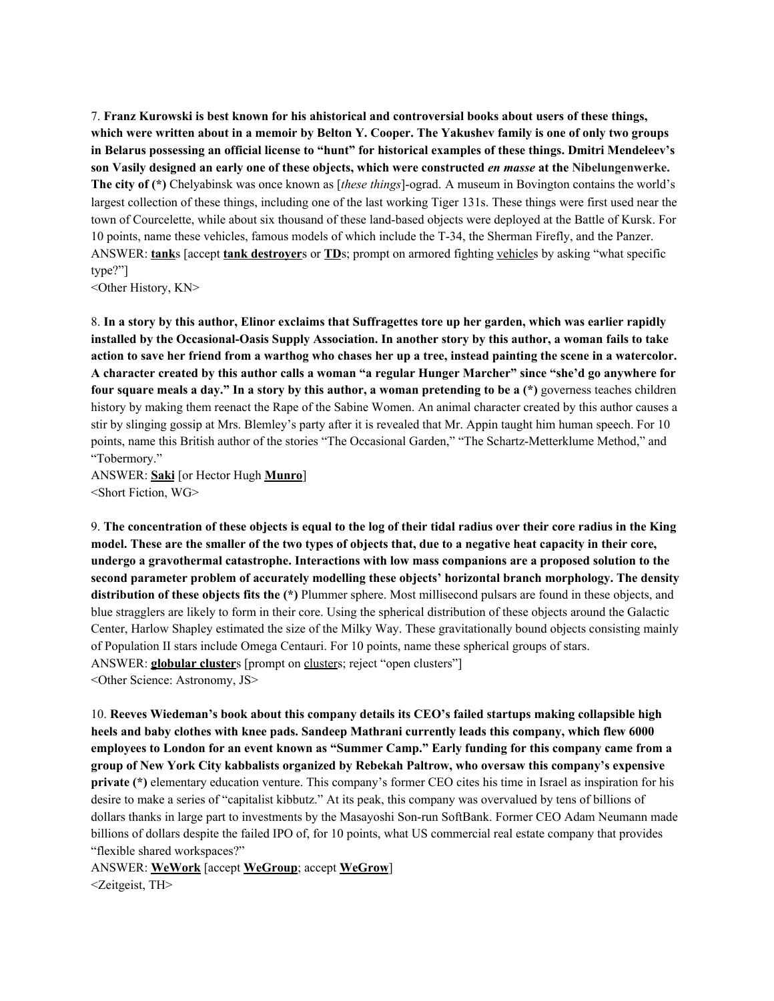7. **Franz Kurowski is best known for his ahistorical and controversial books about users of these things,** which were written about in a memoir by Belton Y. Cooper. The Yakushev family is one of only two groups **in Belarus possessing an official license to "hunt" for historical examples of these things. Dmitri Mendeleev's** son Vasily designed an early one of these objects, which were constructed en masse at the Nibelungenwerke. **The city of (\*)** Chelyabinsk was once known as [*these things*]-ograd. A museum in Bovington contains the world's largest collection of these things, including one of the last working Tiger 131s. These things were first used near the town of Courcelette, while about six thousand of these land-based objects were deployed at the Battle of Kursk. For 10 points, name these vehicles, famous models of which include the T-34, the Sherman Firefly, and the Panzer. ANSWER: **tank**s [accept **tank destroyer**s or **TD**s; prompt on armored fighting vehicles by asking "what specific type?"]

<Other History, KN>

8. In a story by this author, Elinor exclaims that Suffragettes tore up her garden, which was earlier rapidly installed by the Occasional-Oasis Supply Association. In another story by this author, a woman fails to take action to save her friend from a warthog who chases her up a tree, instead painting the scene in a watercolor. A character created by this author calls a woman "a regular Hunger Marcher" since "she'd go anywhere for four square meals a day." In a story by this author, a woman pretending to be a  $(*)$  governess teaches children history by making them reenact the Rape of the Sabine Women. An animal character created by this author causes a stir by slinging gossip at Mrs. Blemley's party after it is revealed that Mr. Appin taught him human speech. For 10 points, name this British author of the stories "The Occasional Garden," "The Schartz-Metterklume Method," and "Tobermory."

ANSWER: **Saki** [or Hector Hugh **Munro**] <Short Fiction, WG>

9. The concentration of these objects is equal to the log of their tidal radius over their core radius in the King model. These are the smaller of the two types of objects that, due to a negative heat capacity in their core, **undergo a gravothermal catastrophe. Interactions with low mass companions are a proposed solution to the second parameter problem of accurately modelling these objects' horizontal branch morphology. The density distribution of these objects fits the (\*)** Plummer sphere. Most millisecond pulsars are found in these objects, and blue stragglers are likely to form in their core. Using the spherical distribution of these objects around the Galactic Center, Harlow Shapley estimated the size of the Milky Way. These gravitationally bound objects consisting mainly of Population II stars include Omega Centauri. For 10 points, name these spherical groups of stars. ANSWER: **globular cluster**s [prompt on clusters; reject "open clusters"]

<Other Science: Astronomy, JS>

10. **Reeves Wiedeman's book about this company details its CEO's failed startups making collapsible high heels and baby clothes with knee pads. Sandeep Mathrani currently leads this company, which flew 6000** employees to London for an event known as "Summer Camp." Early funding for this company came from a **group of New York City kabbalists organized by Rebekah Paltrow, who oversaw this company's expensive private** (\*) elementary education venture. This company's former CEO cites his time in Israel as inspiration for his desire to make a series of "capitalist kibbutz." At its peak, this company was overvalued by tens of billions of dollars thanks in large part to investments by the Masayoshi Son-run SoftBank. Former CEO Adam Neumann made billions of dollars despite the failed IPO of, for 10 points, what US commercial real estate company that provides "flexible shared workspaces?"

ANSWER: **WeWork** [accept **WeGroup**; accept **WeGrow**] <Zeitgeist, TH>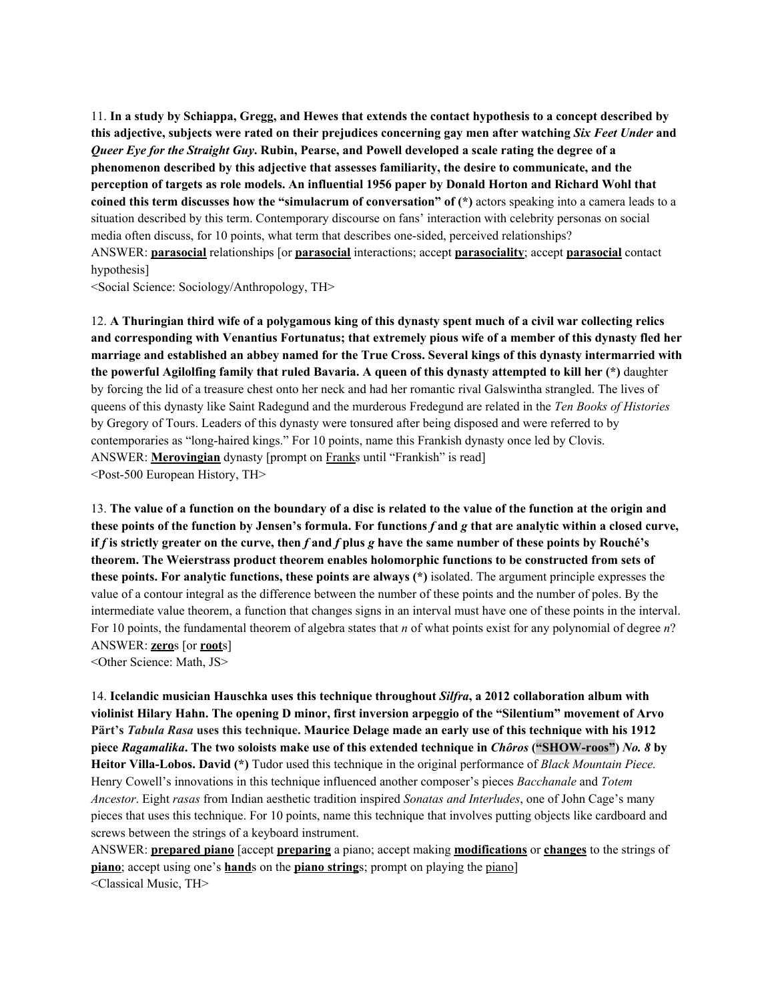11. In a study by Schiappa, Gregg, and Hewes that extends the contact hypothesis to a concept described by this adjective, subjects were rated on their prejudices concerning gay men after watching Six Feet Under and *Queer Eye for the Straight Guy.* Rubin, Pearse, and Powell developed a scale rating the degree of a **phenomenon described by this adjective that assesses familiarity, the desire to communicate, and the perception of targets as role models. An influential 1956 paper by Donald Horton and Richard Wohl that coined this term discusses how the "simulacrum of conversation" of (\*)** actors speaking into a camera leads to a situation described by this term. Contemporary discourse on fans' interaction with celebrity personas on social media often discuss, for 10 points, what term that describes one-sided, perceived relationships? ANSWER: **parasocial** relationships [or **parasocial** interactions; accept **parasociality**; accept **parasocial** contact hypothesis]

<Social Science: Sociology/Anthropology, TH>

12. A Thuringian third wife of a polygamous king of this dynasty spent much of a civil war collecting relics and corresponding with Venantius Fortunatus; that extremely pious wife of a member of this dynasty fled her marriage and established an abbey named for the True Cross. Several kings of this dynasty intermarried with the powerful Agilolfing family that ruled Bavaria. A queen of this dynasty attempted to kill her (\*) daughter by forcing the lid of a treasure chest onto her neck and had her romantic rival Galswintha strangled. The lives of queens of this dynasty like Saint Radegund and the murderous Fredegund are related in the *Ten Books of Histories* by Gregory of Tours. Leaders of this dynasty were tonsured after being disposed and were referred to by contemporaries as "long-haired kings." For 10 points, name this Frankish dynasty once led by Clovis. ANSWER: **Merovingian** dynasty [prompt on Franks until "Frankish" is read] <Post-500 European History, TH>

13. The value of a function on the boundary of a disc is related to the value of the function at the origin and these points of the function by Jensen's formula. For functions f and g that are analytic within a closed curve, if f is strictly greater on the curve, then f and f plus g have the same number of these points by Rouché's **theorem. The Weierstrass product theorem enables holomorphic functions to be constructed from sets of these points. For analytic functions, these points are always (\*)** isolated. The argument principle expresses the value of a contour integral as the difference between the number of these points and the number of poles. By the intermediate value theorem, a function that changes signs in an interval must have one of these points in the interval. For 10 points, the fundamental theorem of algebra states that *n* of what points exist for any polynomial of degree *n*? ANSWER: **zero**s [or **root**s]

<Other Science: Math, JS>

14. **Icelandic musician Hauschka uses this technique throughout** *Silfra***, a 2012 collaboration album with violinist Hilary Hahn. The opening D minor, first inversion arpeggio of the "Silentium" movement of Arvo** Pärt's Tabula Rasa uses this technique. Maurice Delage made an early use of this technique with his 1912 piece Ragamalika. The two soloists make use of this extended technique in *Chôros* ("SHOW-roos") No. 8 by **Heitor Villa-Lobos. David (\*)** Tudor used this technique in the original performance of *Black Mountain Piece.* Henry Cowell's innovations in this technique influenced another composer's pieces *Bacchanale* and *Totem Ancestor*. Eight *rasas* from Indian aesthetic tradition inspired *Sonatas and Interludes*, one of John Cage's many pieces that uses this technique. For 10 points, name this technique that involves putting objects like cardboard and screws between the strings of a keyboard instrument.

ANSWER: **prepared piano** [accept **preparing** a piano; accept making **modifications** or **changes** to the strings of **piano**; accept using one's **hand**s on the **piano string**s; prompt on playing the piano] <Classical Music, TH>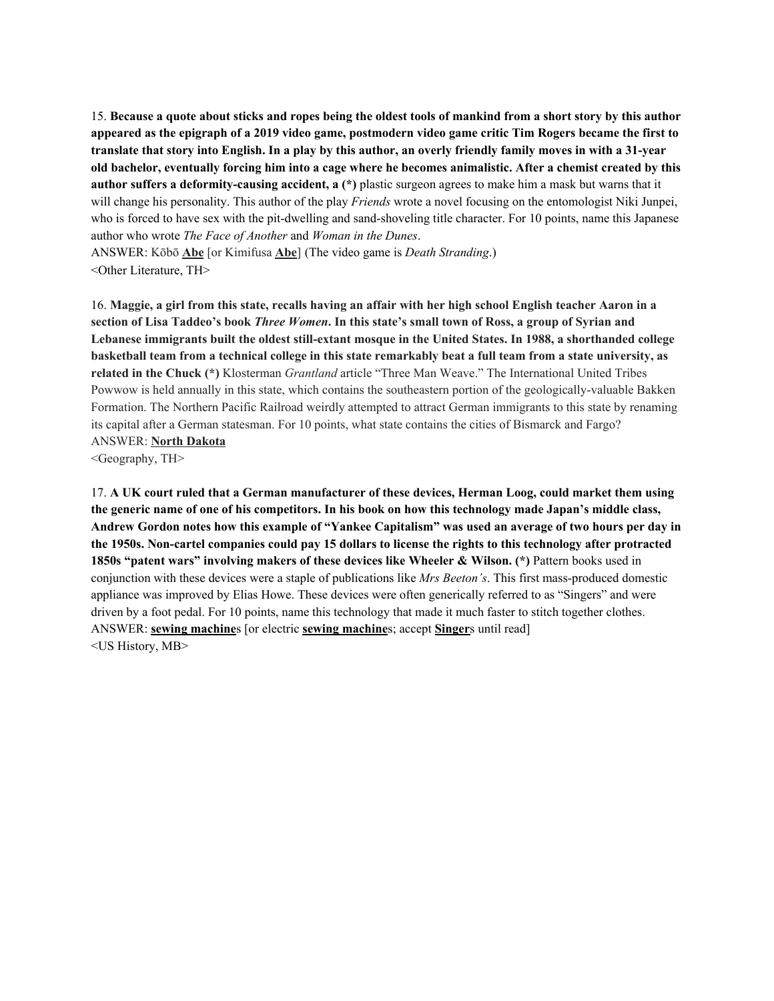15. Because a quote about sticks and ropes being the oldest tools of mankind from a short story by this author appeared as the epigraph of a 2019 video game, postmodern video game critic Tim Rogers became the first to translate that story into English. In a play by this author, an overly friendly family moves in with a 31-year old bachelor, eventually forcing him into a cage where he becomes animalistic. After a chemist created by this **author suffers a deformity-causing accident, a (\*)** plastic surgeon agrees to make him a mask but warns that it will change his personality. This author of the play *Friends* wrote a novel focusing on the entomologist Niki Junpei, who is forced to have sex with the pit-dwelling and sand-shoveling title character. For 10 points, name this Japanese author who wrote *The Face of Another* and *Woman in the Dunes*.

ANSWER: Kōbō **Abe** [or Kimifusa **Abe**] (The video game is *Death Stranding*.) <Other Literature, TH>

16. Maggie, a girl from this state, recalls having an affair with her high school English teacher Aaron in a section of Lisa Taddeo's book Three Women. In this state's small town of Ross, a group of Syrian and **Lebanese immigrants built the oldest still-extant mosque in the United States. In 1988, a shorthanded college** basketball team from a technical college in this state remarkably beat a full team from a state university, as **related in the Chuck (\*)** Klosterman *Grantland* article "Three Man Weave." The International United Tribes Powwow is held annually in this state, which contains the southeastern portion of the geologically-valuable Bakken Formation. The Northern Pacific Railroad weirdly attempted to attract German immigrants to this state by renaming its capital after a German statesman. For 10 points, what state contains the cities of Bismarck and Fargo? ANSWER: **North Dakota**

<Geography, TH>

17. **A UK court ruled that a German manufacturer of these devices, Herman Loog, could market them using** the generic name of one of his competitors. In his book on how this technology made Japan's middle class, Andrew Gordon notes how this example of "Yankee Capitalism" was used an average of two hours per day in the 1950s. Non-cartel companies could pay 15 dollars to license the rights to this technology after protracted **1850s "patent wars" involving makers of these devices like Wheeler & Wilson. (\*)** Pattern books used in conjunction with these devices were a staple of publications like *Mrs Beeton's*. This first mass-produced domestic appliance was improved by Elias Howe. These devices were often generically referred to as "Singers" and were driven by a foot pedal. For 10 points, name this technology that made it much faster to stitch together clothes. ANSWER: **sewing machine**s [or electric **sewing machine**s; accept **Singer**s until read] <US History, MB>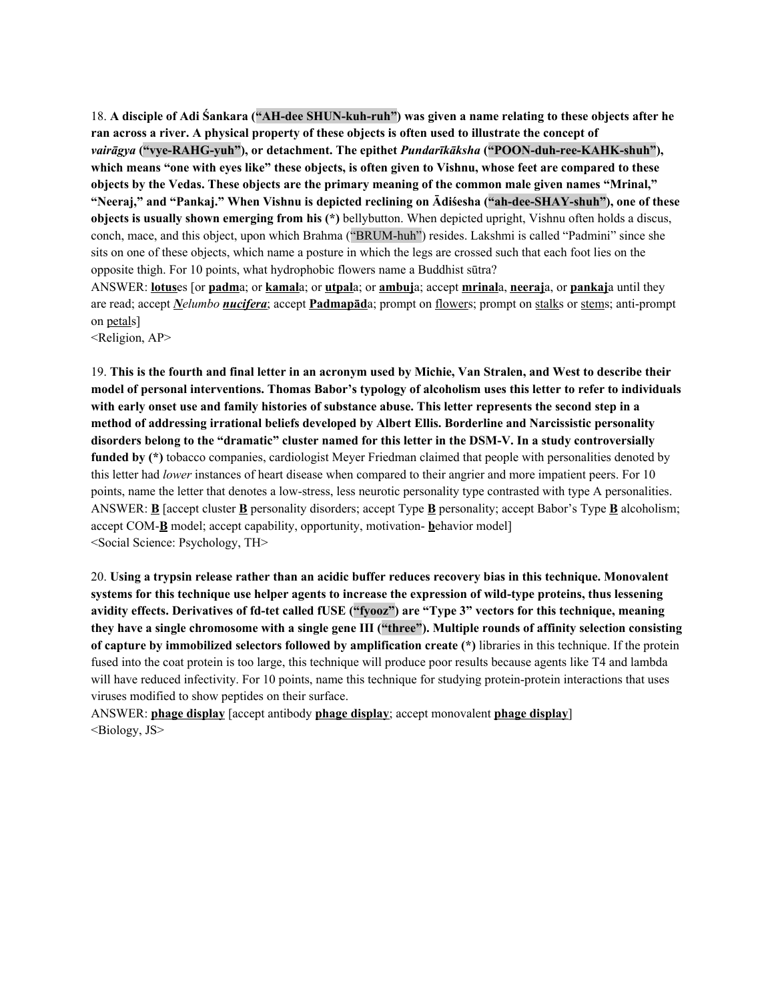18. **A disciple of Adi Śankara ("AH-dee SHUN-kuh-ruh") was given a name relating to these objects after he** ran across a river. A physical property of these objects is often used to illustrate the concept of *vairāgya* **("vye-RAHG-yuh"), or detachment. The epithet** *Pundarīkāksha* **("POON-duh-ree-KAHK-shuh"),** which means "one with eves like" these objects, is often given to Vishnu, whose feet are compared to these **objects by the Vedas. These objects are the primary meaning of the common male given names "Mrinal," "Neeraj," and "Pankaj." When Vishnu is depicted reclining on Ādiśesha ("ah-dee-SHAY-shuh"), one of these objects is usually shown emerging from his (\*)** bellybutton. When depicted upright, Vishnu often holds a discus, conch, mace, and this object, upon which Brahma ("BRUM-huh") resides. Lakshmi is called "Padmini" since she sits on one of these objects, which name a posture in which the legs are crossed such that each foot lies on the opposite thigh. For 10 points, what hydrophobic flowers name a Buddhist sūtra?

ANSWER: **lotus**es [or **padm**a; or **kamal**a; or **utpal**a; or **ambuj**a; accept **mrinal**a, **neeraj**a, or **pankaj**a until they are read; accept *Nelumbo nucifera*; accept **Padmapād**a; prompt on flowers; prompt on stalks or stems; anti-prompt on petals]

<Religion, AP>

19. This is the fourth and final letter in an acronym used by Michie, Van Stralen, and West to describe their **model of personal interventions. Thomas Babor's typology of alcoholism uses this letter to refer to individuals** with early onset use and family histories of substance abuse. This letter represents the second step in a **method of addressing irrational beliefs developed by Albert Ellis. Borderline and Narcissistic personality disorders belong to the "dramatic" cluster named for this letter in the DSM-V. In a study controversially funded by (\*)** tobacco companies, cardiologist Meyer Friedman claimed that people with personalities denoted by this letter had *lower* instances of heart disease when compared to their angrier and more impatient peers. For 10 points, name the letter that denotes a low-stress, less neurotic personality type contrasted with type A personalities. ANSWER: **B** [accept cluster **B** personality disorders; accept Type **B** personality; accept Babor's Type **B** alcoholism; accept COM-**B** model; accept capability, opportunity, motivation- **b**ehavior model] <Social Science: Psychology, TH>

20. **Using a trypsin release rather than an acidic buffer reduces recovery bias in this technique. Monovalent systems for this technique use helper agents to increase the expression of wild-type proteins, thus lessening avidity effects. Derivatives of fd-tet called fUSE ("fyooz") are "Type 3" vectors for this technique, meaning** they have a single chromosome with a single gene III ("three"). Multiple rounds of affinity selection consisting **of capture by immobilized selectors followed by amplification create (\*)** libraries in this technique. If the protein fused into the coat protein is too large, this technique will produce poor results because agents like T4 and lambda will have reduced infectivity. For 10 points, name this technique for studying protein-protein interactions that uses viruses modified to show peptides on their surface.

ANSWER: **phage display** [accept antibody **phage display**; accept monovalent **phage display**] <Biology, JS>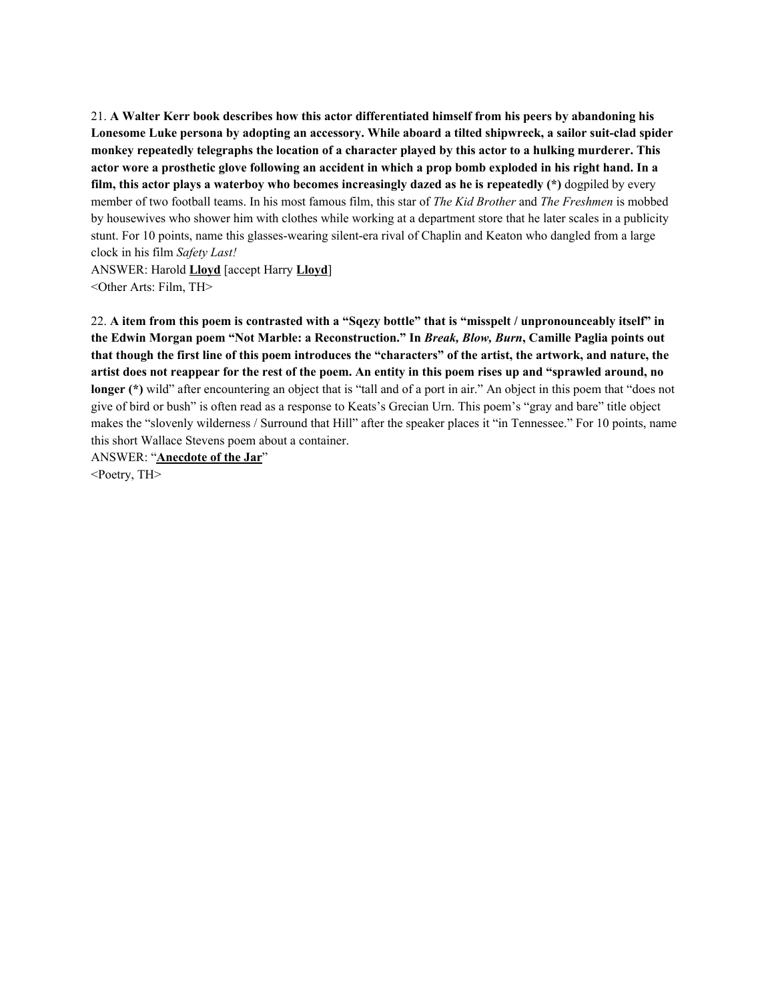21. **A Walter Kerr book describes how this actor differentiated himself from his peers by abandoning his Lonesome Luke persona by adopting an accessory. While aboard a tilted shipwreck, a sailor suit-clad spider monkey repeatedly telegraphs the location of a character played by this actor to a hulking murderer. This** actor wore a prosthetic glove following an accident in which a prop bomb exploded in his right hand. In a **film, this actor plays a waterboy who becomes increasingly dazed as he is repeatedly (\*)** dogpiled by every member of two football teams. In his most famous film, this star of *The Kid Brother* and *The Freshmen* is mobbed by housewives who shower him with clothes while working at a department store that he later scales in a publicity stunt. For 10 points, name this glasses-wearing silent-era rival of Chaplin and Keaton who dangled from a large clock in his film *Safety Last!*

ANSWER: Harold **Lloyd** [accept Harry **Lloyd**] <Other Arts: Film, TH>

22. A item from this poem is contrasted with a "Sqezy bottle" that is "misspelt / unpronounceably itself" in **the Edwin Morgan poem "Not Marble: a Reconstruction." In** *Break, Blow, Burn***, Camille Paglia points out** that though the first line of this poem introduces the "characters" of the artist, the artwork, and nature, the artist does not reappear for the rest of the poem. An entity in this poem rises up and "sprawled around, no **longer (\*)** wild" after encountering an object that is "tall and of a port in air." An object in this poem that "does not give of bird or bush" is often read as a response to Keats's Grecian Urn. This poem's "gray and bare" title object makes the "slovenly wilderness / Surround that Hill" after the speaker places it "in Tennessee." For 10 points, name this short Wallace Stevens poem about a container.

ANSWER: "**Anecdote of the Jar**" <Poetry, TH>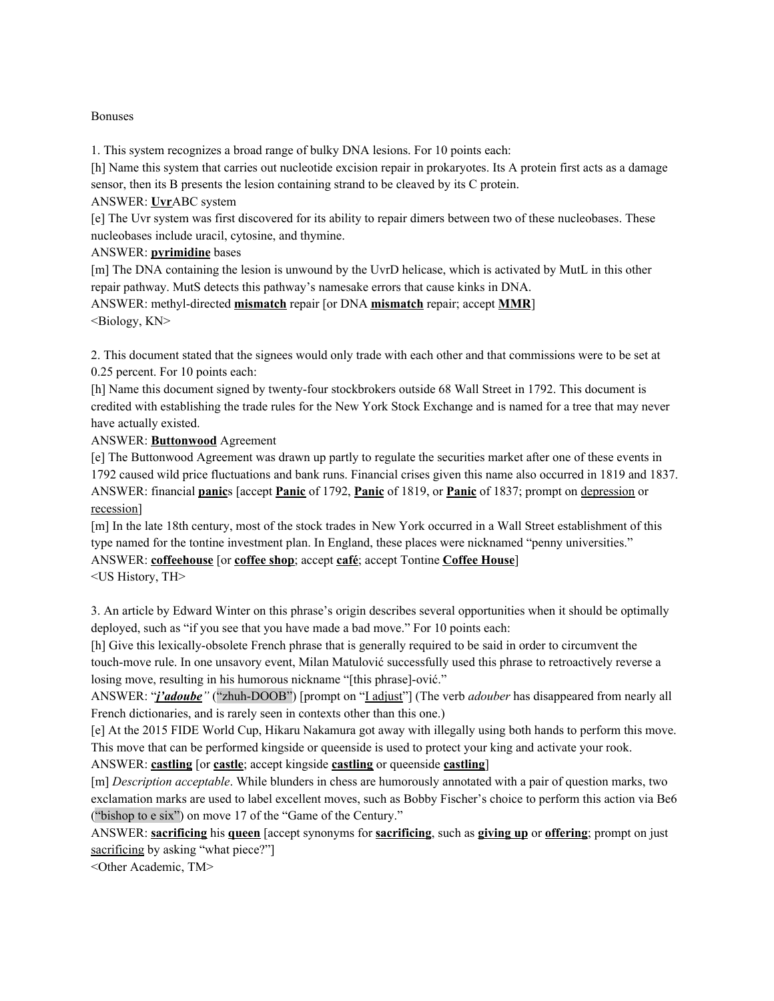### Bonuses

1. This system recognizes a broad range of bulky DNA lesions. For 10 points each:

[h] Name this system that carries out nucleotide excision repair in prokaryotes. Its A protein first acts as a damage sensor, then its B presents the lesion containing strand to be cleaved by its C protein.

ANSWER: **Uvr**ABC system

[e] The Uvr system was first discovered for its ability to repair dimers between two of these nucleobases. These nucleobases include uracil, cytosine, and thymine.

ANSWER: **pyrimidine** bases

[m] The DNA containing the lesion is unwound by the UvrD helicase, which is activated by MutL in this other repair pathway. MutS detects this pathway's namesake errors that cause kinks in DNA.

ANSWER: methyl-directed **mismatch** repair [or DNA **mismatch** repair; accept **MMR**] <Biology, KN>

2. This document stated that the signees would only trade with each other and that commissions were to be set at 0.25 percent. For 10 points each:

[h] Name this document signed by twenty-four stockbrokers outside 68 Wall Street in 1792. This document is credited with establishing the trade rules for the New York Stock Exchange and is named for a tree that may never have actually existed.

ANSWER: **Buttonwood** Agreement

[e] The Buttonwood Agreement was drawn up partly to regulate the securities market after one of these events in 1792 caused wild price fluctuations and bank runs. Financial crises given this name also occurred in 1819 and 1837. ANSWER: financial **panic**s [accept **Panic** of 1792, **Panic** of 1819, or **Panic** of 1837; prompt on depression or recession]

[m] In the late 18th century, most of the stock trades in New York occurred in a Wall Street establishment of this type named for the tontine investment plan. In England, these places were nicknamed "penny universities." ANSWER: **coffeehouse** [or **coffee shop**; accept **café**; accept Tontine **Coffee House**]

<US History, TH>

3. An article by Edward Winter on this phrase's origin describes several opportunities when it should be optimally deployed, such as "if you see that you have made a bad move." For 10 points each:

[h] Give this lexically-obsolete French phrase that is generally required to be said in order to circumvent the touch-move rule. In one unsavory event, Milan Matulović successfully used this phrase to retroactively reverse a losing move, resulting in his humorous nickname "[this phrase]-ović."

ANSWER: "*j'adoube"* ("zhuh-DOOB") [prompt on "I adjust"] (The verb *adouber* has disappeared from nearly all French dictionaries, and is rarely seen in contexts other than this one.)

[e] At the 2015 FIDE World Cup, Hikaru Nakamura got away with illegally using both hands to perform this move. This move that can be performed kingside or queenside is used to protect your king and activate your rook.

ANSWER: **castling** [or **castle**; accept kingside **castling** or queenside **castling**]

[m] *Description acceptable*. While blunders in chess are humorously annotated with a pair of question marks, two exclamation marks are used to label excellent moves, such as Bobby Fischer's choice to perform this action via Be6 ("bishop to e six") on move 17 of the "Game of the Century."

ANSWER: **sacrificing** his **queen** [accept synonyms for **sacrificing**, such as **giving up** or **offering**; prompt on just sacrificing by asking "what piece?"

<Other Academic, TM>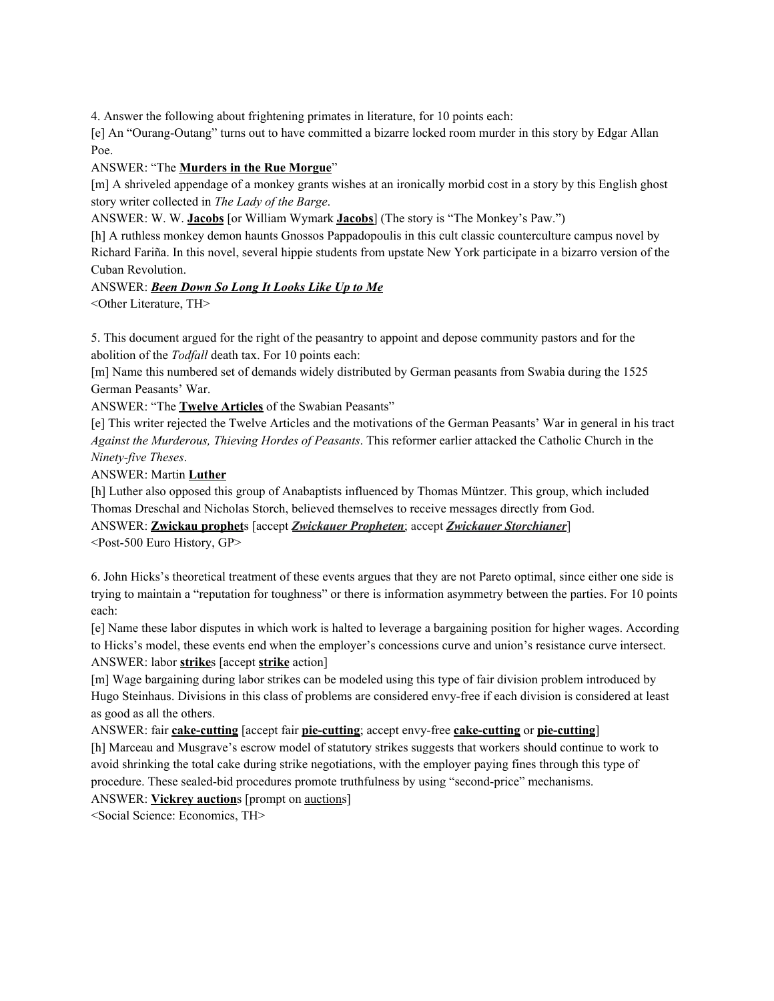4. Answer the following about frightening primates in literature, for 10 points each:

[e] An "Ourang-Outang" turns out to have committed a bizarre locked room murder in this story by Edgar Allan Poe.

ANSWER: "The **Murders in the Rue Morgue**"

[m] A shriveled appendage of a monkey grants wishes at an ironically morbid cost in a story by this English ghost story writer collected in *The Lady of the Barge*.

ANSWER: W. W. **Jacobs** [or William Wymark **Jacobs**] (The story is "The Monkey's Paw.")

[h] A ruthless monkey demon haunts Gnossos Pappadopoulis in this cult classic counterculture campus novel by Richard Fariña. In this novel, several hippie students from upstate New York participate in a bizarro version of the Cuban Revolution.

ANSWER: *Been Down So Long It Looks Like Up to Me*

<Other Literature, TH>

5. This document argued for the right of the peasantry to appoint and depose community pastors and for the abolition of the *Todfall* death tax. For 10 points each:

[m] Name this numbered set of demands widely distributed by German peasants from Swabia during the 1525 German Peasants' War.

ANSWER: "The **Twelve Articles** of the Swabian Peasants"

[e] This writer rejected the Twelve Articles and the motivations of the German Peasants' War in general in his tract *Against the Murderous, Thieving Hordes of Peasants*. This reformer earlier attacked the Catholic Church in the *Ninety-five Theses*.

ANSWER: Martin **Luther**

[h] Luther also opposed this group of Anabaptists influenced by Thomas Müntzer. This group, which included Thomas Dreschal and Nicholas Storch, believed themselves to receive messages directly from God.

ANSWER: **Zwickau prophet**s [accept *Zwickauer Propheten*; accept *Zwickauer Storchianer*] <Post-500 Euro History, GP>

6. John Hicks's theoretical treatment of these events argues that they are not Pareto optimal, since either one side is trying to maintain a "reputation for toughness" or there is information asymmetry between the parties. For 10 points each:

[e] Name these labor disputes in which work is halted to leverage a bargaining position for higher wages. According to Hicks's model, these events end when the employer's concessions curve and union's resistance curve intersect. ANSWER: labor **strike**s [accept **strike** action]

[m] Wage bargaining during labor strikes can be modeled using this type of fair division problem introduced by Hugo Steinhaus. Divisions in this class of problems are considered envy-free if each division is considered at least as good as all the others.

ANSWER: fair **cake-cutting** [accept fair **pie-cutting**; accept envy-free **cake-cutting** or **pie-cutting**] [h] Marceau and Musgrave's escrow model of statutory strikes suggests that workers should continue to work to avoid shrinking the total cake during strike negotiations, with the employer paying fines through this type of procedure. These sealed-bid procedures promote truthfulness by using "second-price" mechanisms.

ANSWER: **Vickrey auction**s [prompt on auctions]

<Social Science: Economics, TH>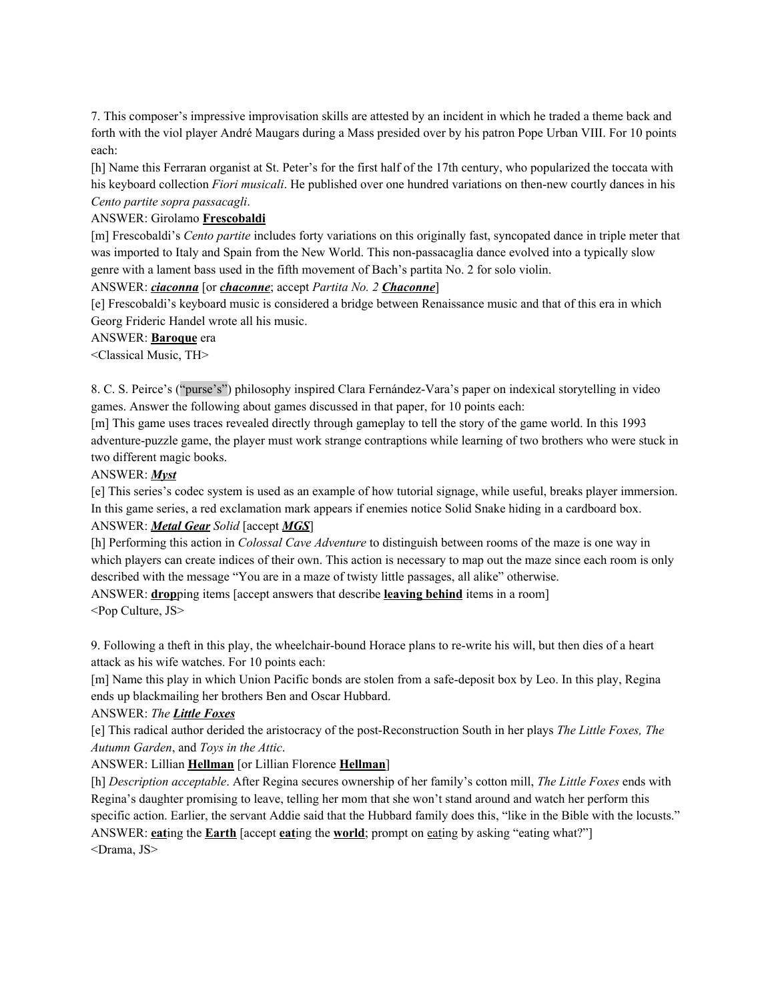7. This composer's impressive improvisation skills are attested by an incident in which he traded a theme back and forth with the viol player André Maugars during a Mass presided over by his patron Pope Urban VIII. For 10 points each:

[h] Name this Ferraran organist at St. Peter's for the first half of the 17th century, who popularized the toccata with his keyboard collection *Fiori musicali*. He published over one hundred variations on then-new courtly dances in his *Cento partite sopra passacagli*.

#### ANSWER: Girolamo **Frescobaldi**

[m] Frescobaldi's *Cento partite* includes forty variations on this originally fast, syncopated dance in triple meter that was imported to Italy and Spain from the New World. This non-passacaglia dance evolved into a typically slow genre with a lament bass used in the fifth movement of Bach's partita No. 2 for solo violin.

#### ANSWER: *ciaconna* [or *chaconne*; accept *Partita No. 2 Chaconne*]

[e] Frescobaldi's keyboard music is considered a bridge between Renaissance music and that of this era in which Georg Frideric Handel wrote all his music.

#### ANSWER: **Baroque** era

<Classical Music, TH>

8. C. S. Peirce's ("purse's") philosophy inspired Clara Fernández-Vara's paper on indexical storytelling in video games. Answer the following about games discussed in that paper, for 10 points each:

[m] This game uses traces revealed directly through gameplay to tell the story of the game world. In this 1993 adventure-puzzle game, the player must work strange contraptions while learning of two brothers who were stuck in two different magic books.

#### ANSWER: *Myst*

[e] This series's codec system is used as an example of how tutorial signage, while useful, breaks player immersion. In this game series, a red exclamation mark appears if enemies notice Solid Snake hiding in a cardboard box.

#### ANSWER: *Metal Gear Solid* [accept *MGS*]

[h] Performing this action in *Colossal Cave Adventure* to distinguish between rooms of the maze is one way in which players can create indices of their own. This action is necessary to map out the maze since each room is only described with the message "You are in a maze of twisty little passages, all alike" otherwise.

ANSWER: **drop**ping items [accept answers that describe **leaving behind** items in a room] <Pop Culture, JS>

9. Following a theft in this play, the wheelchair-bound Horace plans to re-write his will, but then dies of a heart attack as his wife watches. For 10 points each:

[m] Name this play in which Union Pacific bonds are stolen from a safe-deposit box by Leo. In this play, Regina ends up blackmailing her brothers Ben and Oscar Hubbard.

#### ANSWER: *The Little Foxes*

[e] This radical author derided the aristocracy of the post-Reconstruction South in her plays *The Little Foxes, The Autumn Garden*, and *Toys in the Attic*.

#### ANSWER: Lillian **Hellman** [or Lillian Florence **Hellman**]

[h] *Description acceptable*. After Regina secures ownership of her family's cotton mill, *The Little Foxes* ends with Regina's daughter promising to leave, telling her mom that she won't stand around and watch her perform this specific action. Earlier, the servant Addie said that the Hubbard family does this, "like in the Bible with the locusts." ANSWER: **eat**ing the **Earth** [accept **eat**ing the **world**; prompt on eating by asking "eating what?"] <Drama, JS>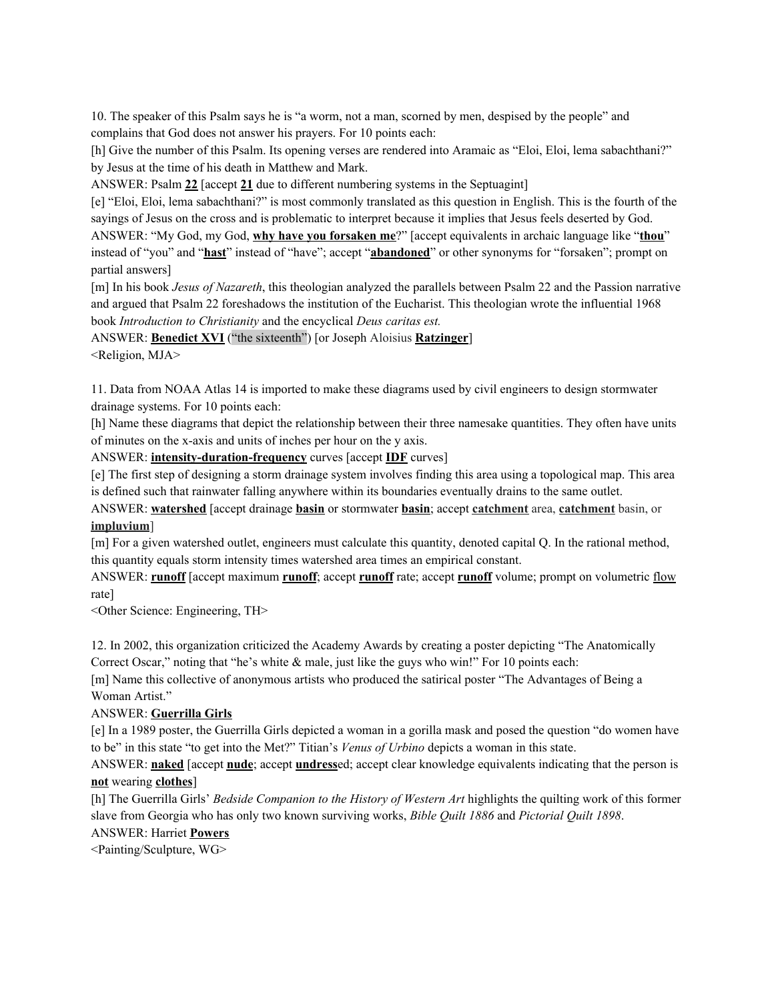10. The speaker of this Psalm says he is "a worm, not a man, scorned by men, despised by the people" and complains that God does not answer his prayers. For 10 points each:

[h] Give the number of this Psalm. Its opening verses are rendered into Aramaic as "Eloi, Eloi, lema sabachthani?" by Jesus at the time of his death in Matthew and Mark.

ANSWER: Psalm **22** [accept **21** due to different numbering systems in the Septuagint]

[e] "Eloi, Eloi, lema sabachthani?" is most commonly translated as this question in English. This is the fourth of the sayings of Jesus on the cross and is problematic to interpret because it implies that Jesus feels deserted by God. ANSWER: "My God, my God, **why have you forsaken me**?" [accept equivalents in archaic language like "**thou**" instead of "you" and "**hast**" instead of "have"; accept "**abandoned**" or other synonyms for "forsaken"; prompt on partial answers]

[m] In his book *Jesus of Nazareth*, this theologian analyzed the parallels between Psalm 22 and the Passion narrative and argued that Psalm 22 foreshadows the institution of the Eucharist. This theologian wrote the influential 1968 book *Introduction to Christianity* and the encyclical *Deus caritas est.*

ANSWER: **Benedict XVI** ("the sixteenth") [or Joseph Aloisius **Ratzinger**]

<Religion, MJA>

11. Data from NOAA Atlas 14 is imported to make these diagrams used by civil engineers to design stormwater drainage systems. For 10 points each:

[h] Name these diagrams that depict the relationship between their three namesake quantities. They often have units of minutes on the x-axis and units of inches per hour on the y axis.

ANSWER: **intensity-duration-frequency** curves [accept **IDF** curves]

[e] The first step of designing a storm drainage system involves finding this area using a topological map. This area is defined such that rainwater falling anywhere within its boundaries eventually drains to the same outlet.

ANSWER: **watershed** [accept drainage **basin** or stormwater **basin**; accept **catchment** area, **catchment** basin, or **impluvium**]

[m] For a given watershed outlet, engineers must calculate this quantity, denoted capital Q. In the rational method, this quantity equals storm intensity times watershed area times an empirical constant.

ANSWER: **runoff** [accept maximum **runoff**; accept **runoff** rate; accept **runoff** volume; prompt on volumetric flow rate]

<Other Science: Engineering, TH>

12. In 2002, this organization criticized the Academy Awards by creating a poster depicting "The Anatomically Correct Oscar," noting that "he's white  $\&$  male, just like the guys who win!" For 10 points each:

[m] Name this collective of anonymous artists who produced the satirical poster "The Advantages of Being a Woman Artist."

### ANSWER: **Guerrilla Girls**

[e] In a 1989 poster, the Guerrilla Girls depicted a woman in a gorilla mask and posed the question "do women have to be" in this state "to get into the Met?" Titian's *Venus of Urbino* depicts a woman in this state.

ANSWER: **naked** [accept **nude**; accept **undress**ed; accept clear knowledge equivalents indicating that the person is **not** wearing **clothes**]

[h] The Guerrilla Girls' *Bedside Companion to the History of Western Art* highlights the quilting work of this former slave from Georgia who has only two known surviving works, *Bible Quilt 1886* and *Pictorial Quilt 1898*.

ANSWER: Harriet **Powers**

<Painting/Sculpture, WG>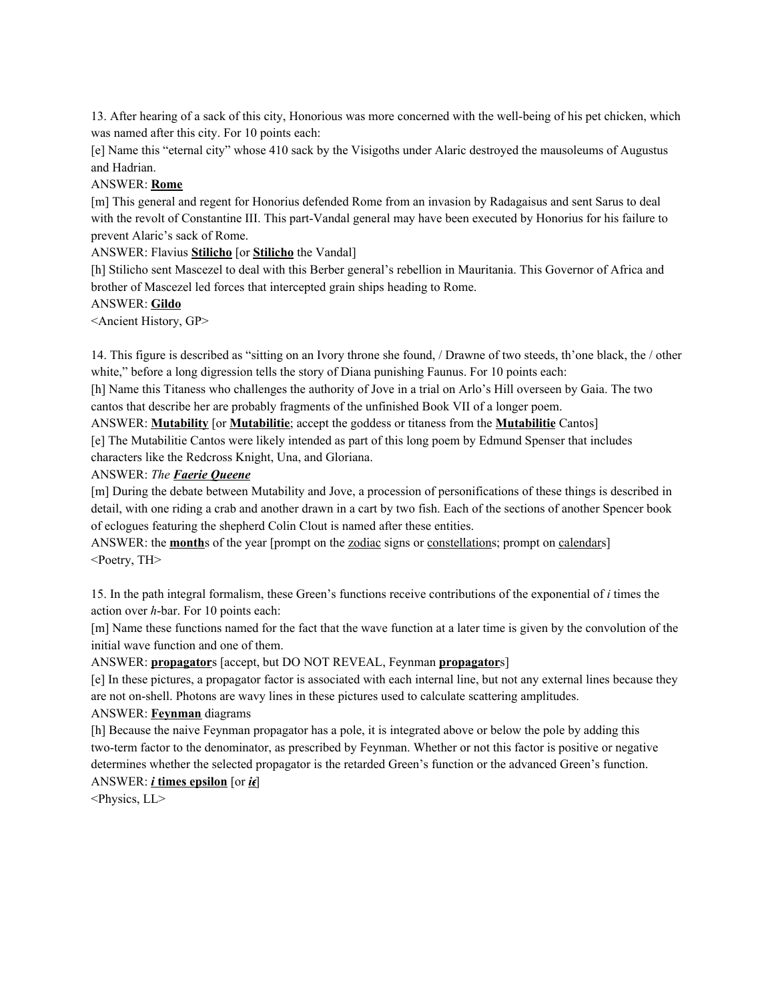13. After hearing of a sack of this city, Honorious was more concerned with the well-being of his pet chicken, which was named after this city. For 10 points each:

[e] Name this "eternal city" whose 410 sack by the Visigoths under Alaric destroyed the mausoleums of Augustus and Hadrian.

### ANSWER: **Rome**

[m] This general and regent for Honorius defended Rome from an invasion by Radagaisus and sent Sarus to deal with the revolt of Constantine III. This part-Vandal general may have been executed by Honorius for his failure to prevent Alaric's sack of Rome.

ANSWER: Flavius **Stilicho** [or **Stilicho** the Vandal]

[h] Stilicho sent Mascezel to deal with this Berber general's rebellion in Mauritania. This Governor of Africa and brother of Mascezel led forces that intercepted grain ships heading to Rome.

### ANSWER: **Gildo**

<Ancient History, GP>

14. This figure is described as "sitting on an Ivory throne she found, / Drawne of two steeds, th'one black, the / other white," before a long digression tells the story of Diana punishing Faunus. For 10 points each:

[h] Name this Titaness who challenges the authority of Jove in a trial on Arlo's Hill overseen by Gaia. The two cantos that describe her are probably fragments of the unfinished Book VII of a longer poem.

ANSWER: **Mutability** [or **Mutabilitie**; accept the goddess or titaness from the **Mutabilitie** Cantos]

[e] The Mutabilitie Cantos were likely intended as part of this long poem by Edmund Spenser that includes characters like the Redcross Knight, Una, and Gloriana.

### ANSWER: *The Faerie Queene*

[m] During the debate between Mutability and Jove, a procession of personifications of these things is described in detail, with one riding a crab and another drawn in a cart by two fish. Each of the sections of another Spencer book of eclogues featuring the shepherd Colin Clout is named after these entities.

ANSWER: the **month**s of the year [prompt on the <u>zodiac</u> signs or <u>constellations</u>; prompt on calendars] <Poetry, TH>

15. In the path integral formalism, these Green's functions receive contributions of the exponential of *i* times the action over *h*-bar. For 10 points each:

[m] Name these functions named for the fact that the wave function at a later time is given by the convolution of the initial wave function and one of them.

### ANSWER: **propagator**s [accept, but DO NOT REVEAL, Feynman **propagator**s]

[e] In these pictures, a propagator factor is associated with each internal line, but not any external lines because they are not on-shell. Photons are wavy lines in these pictures used to calculate scattering amplitudes.

### ANSWER: **Feynman** diagrams

[h] Because the naive Feynman propagator has a pole, it is integrated above or below the pole by adding this two-term factor to the denominator, as prescribed by Feynman. Whether or not this factor is positive or negative determines whether the selected propagator is the retarded Green's function or the advanced Green's function.

# ANSWER:  $\boldsymbol{i}$  **times** epsilon [or  $\boldsymbol{i}\boldsymbol{\epsilon}$ ]

<Physics, LL>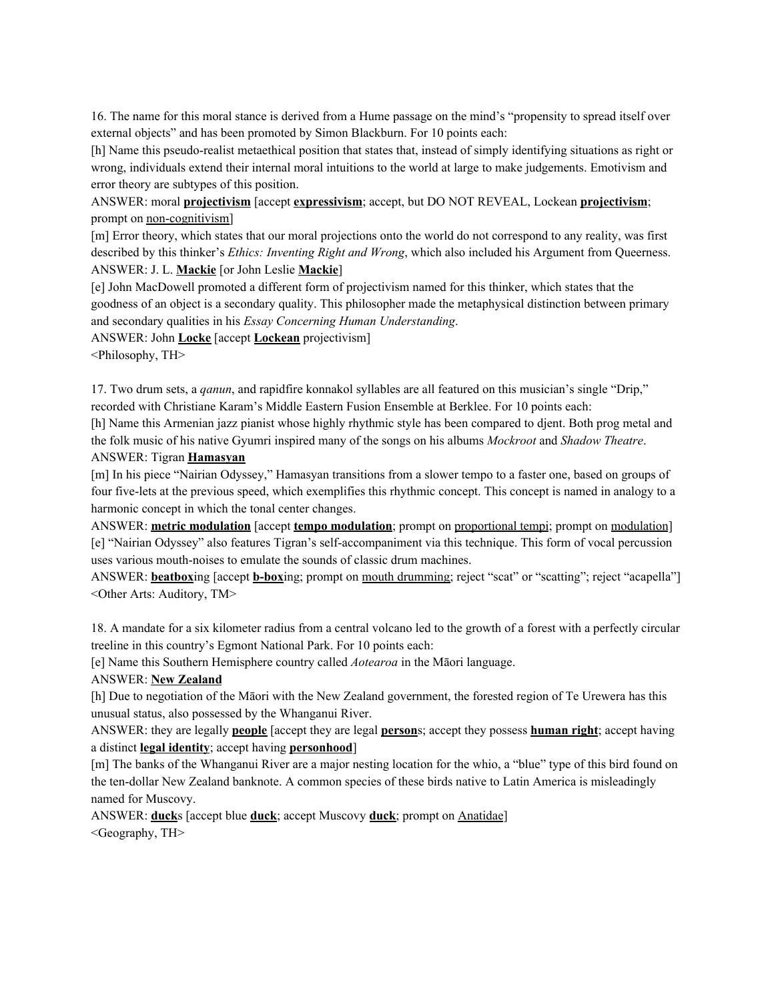16. The name for this moral stance is derived from a Hume passage on the mind's "propensity to spread itself over external objects" and has been promoted by Simon Blackburn. For 10 points each:

[h] Name this pseudo-realist metaethical position that states that, instead of simply identifying situations as right or wrong, individuals extend their internal moral intuitions to the world at large to make judgements. Emotivism and error theory are subtypes of this position.

ANSWER: moral **projectivism** [accept **expressivism**; accept, but DO NOT REVEAL, Lockean **projectivism**; prompt on non-cognitivism]

[m] Error theory, which states that our moral projections onto the world do not correspond to any reality, was first described by this thinker's *Ethics: Inventing Right and Wrong*, which also included his Argument from Queerness. ANSWER: J. L. **Mackie** [or John Leslie **Mackie**]

[e] John MacDowell promoted a different form of projectivism named for this thinker, which states that the goodness of an object is a secondary quality. This philosopher made the metaphysical distinction between primary and secondary qualities in his *Essay Concerning Human Understanding*.

ANSWER: John **Locke** [accept **Lockean** projectivism]

<Philosophy, TH>

17. Two drum sets, a *qanun*, and rapidfire konnakol syllables are all featured on this musician's single "Drip," recorded with Christiane Karam's Middle Eastern Fusion Ensemble at Berklee. For 10 points each:

[h] Name this Armenian jazz pianist whose highly rhythmic style has been compared to djent. Both prog metal and the folk music of his native Gyumri inspired many of the songs on his albums *Mockroot* and *Shadow Theatre*. ANSWER: Tigran **Hamasyan**

[m] In his piece "Nairian Odyssey," Hamasyan transitions from a slower tempo to a faster one, based on groups of four five-lets at the previous speed, which exemplifies this rhythmic concept. This concept is named in analogy to a harmonic concept in which the tonal center changes.

ANSWER: **metric modulation** [accept **tempo modulation**; prompt on proportional tempi; prompt on modulation] [e] "Nairian Odyssey" also features Tigran's self-accompaniment via this technique. This form of vocal percussion uses various mouth-noises to emulate the sounds of classic drum machines.

ANSWER: **beatbox**ing [accept **b-box**ing; prompt on mouth drumming; reject "scat" or "scatting"; reject "acapella"] <Other Arts: Auditory, TM>

18. A mandate for a six kilometer radius from a central volcano led to the growth of a forest with a perfectly circular treeline in this country's Egmont National Park. For 10 points each:

[e] Name this Southern Hemisphere country called *Aotearoa* in the Māori language.

# ANSWER: **New Zealand**

[h] Due to negotiation of the Māori with the New Zealand government, the forested region of Te Urewera has this unusual status, also possessed by the Whanganui River.

ANSWER: they are legally **people** [accept they are legal **person**s; accept they possess **human right**; accept having a distinct **legal identity**; accept having **personhood**]

[m] The banks of the Whanganui River are a major nesting location for the whio, a "blue" type of this bird found on the ten-dollar New Zealand banknote. A common species of these birds native to Latin America is misleadingly named for Muscovy.

ANSWER: **duck**s [accept blue **duck**; accept Muscovy **duck**; prompt on Anatidae] <Geography, TH>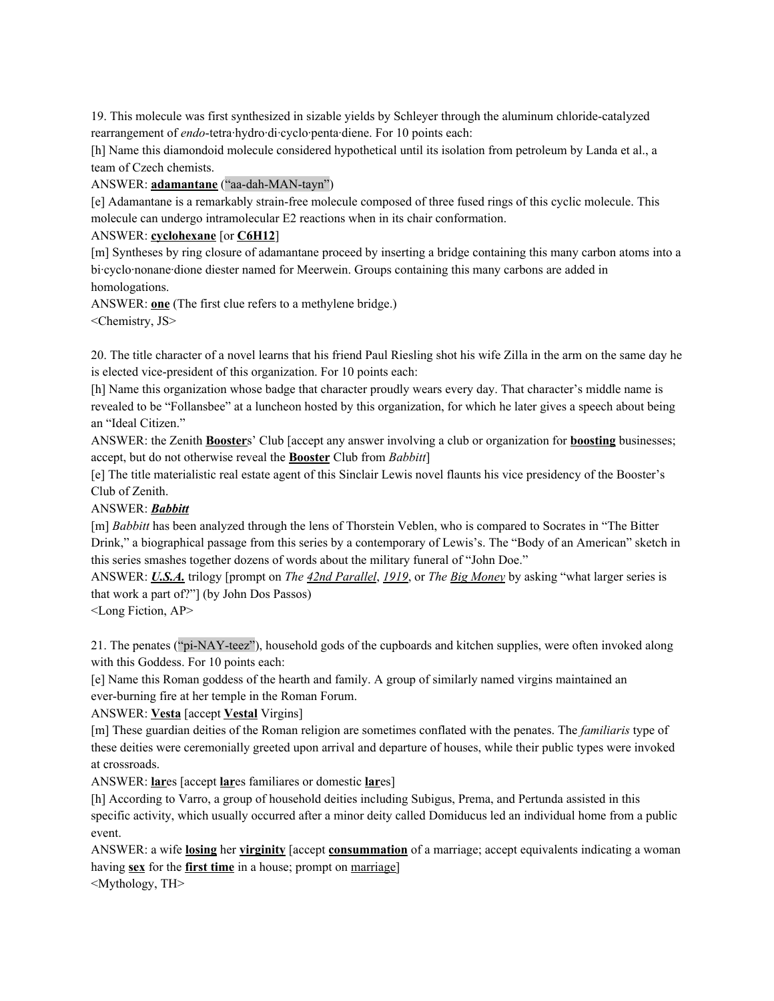19. This molecule was first synthesized in sizable yields by Schleyer through the aluminum chloride-catalyzed rearrangement of *endo*-tetra·hydro·di·cyclo·penta·diene. For 10 points each:

[h] Name this diamondoid molecule considered hypothetical until its isolation from petroleum by Landa et al., a team of Czech chemists.

ANSWER: **adamantane** ("aa-dah-MAN-tayn")

[e] Adamantane is a remarkably strain-free molecule composed of three fused rings of this cyclic molecule. This molecule can undergo intramolecular E2 reactions when in its chair conformation.

## ANSWER: **cyclohexane** [or **C6H12**]

[m] Syntheses by ring closure of adamantane proceed by inserting a bridge containing this many carbon atoms into a bi-cyclo-nonane-dione diester named for Meerwein. Groups containing this many carbons are added in homologations.

ANSWER: **one** (The first clue refers to a methylene bridge.) <Chemistry, JS>

20. The title character of a novel learns that his friend Paul Riesling shot his wife Zilla in the arm on the same day he is elected vice-president of this organization. For 10 points each:

[h] Name this organization whose badge that character proudly wears every day. That character's middle name is revealed to be "Follansbee" at a luncheon hosted by this organization, for which he later gives a speech about being an "Ideal Citizen."

ANSWER: the Zenith **Booster**s' Club [accept any answer involving a club or organization for **boosting** businesses; accept, but do not otherwise reveal the **Booster** Club from *Babbitt*]

[e] The title materialistic real estate agent of this Sinclair Lewis novel flaunts his vice presidency of the Booster's Club of Zenith.

# ANSWER: *Babbitt*

[m] *Babbitt* has been analyzed through the lens of Thorstein Veblen, who is compared to Socrates in "The Bitter Drink," a biographical passage from this series by a contemporary of Lewis's. The "Body of an American" sketch in this series smashes together dozens of words about the military funeral of "John Doe."

ANSWER: *U.S.A.* trilogy [prompt on *The 42nd Parallel*, *1919*, or *The Big Money* by asking "what larger series is that work a part of?"] (by John Dos Passos)

<Long Fiction, AP>

21. The penates ("pi-NAY-teez"), household gods of the cupboards and kitchen supplies, were often invoked along with this Goddess. For 10 points each:

[e] Name this Roman goddess of the hearth and family. A group of similarly named virgins maintained an ever-burning fire at her temple in the Roman Forum.

# ANSWER: **Vesta** [accept **Vestal** Virgins]

[m] These guardian deities of the Roman religion are sometimes conflated with the penates. The *familiaris* type of these deities were ceremonially greeted upon arrival and departure of houses, while their public types were invoked at crossroads.

ANSWER: **lar**es [accept **lar**es familiares or domestic **lar**es]

[h] According to Varro, a group of household deities including Subigus, Prema, and Pertunda assisted in this specific activity, which usually occurred after a minor deity called Domiducus led an individual home from a public event.

ANSWER: a wife **losing** her **virginity** [accept **consummation** of a marriage; accept equivalents indicating a woman having **sex** for the **first time** in a house; prompt on marriage] <Mythology, TH>